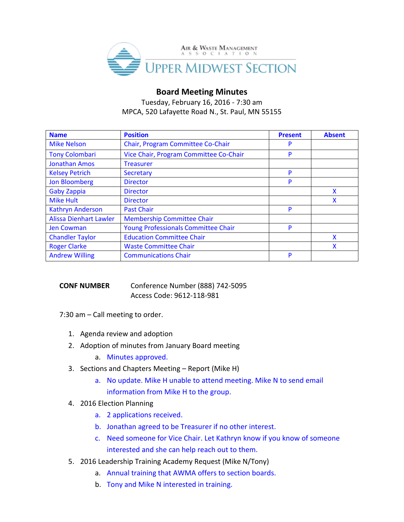

# **Board Meeting Minutes**

Tuesday, February 16, 2016 - 7:30 am MPCA, 520 Lafayette Road N., St. Paul, MN 55155

| <b>Name</b>                   | <b>Position</b>                            | <b>Present</b> | <b>Absent</b> |
|-------------------------------|--------------------------------------------|----------------|---------------|
| <b>Mike Nelson</b>            | Chair, Program Committee Co-Chair          | P              |               |
| <b>Tony Colombari</b>         | Vice Chair, Program Committee Co-Chair     | P              |               |
| <b>Jonathan Amos</b>          | <b>Treasurer</b>                           |                |               |
| <b>Kelsey Petrich</b>         | Secretary                                  | P              |               |
| <b>Jon Bloomberg</b>          | <b>Director</b>                            | P              |               |
| <b>Gaby Zappia</b>            | <b>Director</b>                            |                | X             |
| <b>Mike Hult</b>              | <b>Director</b>                            |                | X             |
| <b>Kathryn Anderson</b>       | <b>Past Chair</b>                          | P              |               |
| <b>Alissa Dienhart Lawler</b> | <b>Membership Committee Chair</b>          |                |               |
| <b>Jen Cowman</b>             | <b>Young Professionals Committee Chair</b> | P              |               |
| <b>Chandler Taylor</b>        | <b>Education Committee Chair</b>           |                | X             |
| <b>Roger Clarke</b>           | <b>Waste Committee Chair</b>               |                | X             |
| <b>Andrew Willing</b>         | <b>Communications Chair</b>                | P              |               |

# **CONF NUMBER** Conference Number (888) 742-5095 Access Code: 9612-118-981

7:30 am – Call meeting to order.

- 1. Agenda review and adoption
- 2. Adoption of minutes from January Board meeting
	- a. Minutes approved.
- 3. Sections and Chapters Meeting Report (Mike H)
	- a. No update. Mike H unable to attend meeting. Mike N to send email information from Mike H to the group.

### 4. 2016 Election Planning

- a. 2 applications received.
- b. Jonathan agreed to be Treasurer if no other interest.
- c. Need someone for Vice Chair. Let Kathryn know if you know of someone interested and she can help reach out to them.
- 5. 2016 Leadership Training Academy Request (Mike N/Tony)
	- a. Annual training that AWMA offers to section boards.
	- b. Tony and Mike N interested in training.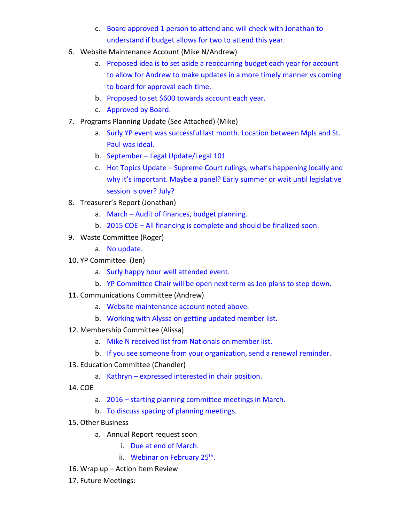- c. Board approved 1 person to attend and will check with Jonathan to understand if budget allows for two to attend this year.
- 6. Website Maintenance Account (Mike N/Andrew)
	- a. Proposed idea is to set aside a reoccurring budget each year for account to allow for Andrew to make updates in a more timely manner vs coming to board for approval each time.
	- b. Proposed to set \$600 towards account each year.
	- c. Approved by Board.
- 7. Programs Planning Update (See Attached) (Mike)
	- a. Surly YP event was successful last month. Location between Mpls and St. Paul was ideal.
	- b. September Legal Update/Legal 101
	- c. Hot Topics Update Supreme Court rulings, what's happening locally and why it's important. Maybe a panel? Early summer or wait until legislative session is over? July?
- 8. Treasurer's Report (Jonathan)
	- a. March Audit of finances, budget planning.
	- b. 2015 COE All financing is complete and should be finalized soon.
- 9. Waste Committee (Roger)
	- a. No update.
- 10. YP Committee (Jen)
	- a. Surly happy hour well attended event.
	- b. YP Committee Chair will be open next term as Jen plans to step down.
- 11. Communications Committee (Andrew)
	- a. Website maintenance account noted above.
	- b. Working with Alyssa on getting updated member list.
- 12. Membership Committee (Alissa)
	- a. Mike N received list from Nationals on member list.
	- b. If you see someone from your organization, send a renewal reminder.
- 13. Education Committee (Chandler)
	- a. Kathryn expressed interested in chair position.
- 14. COE
	- a. 2016 starting planning committee meetings in March.
	- b. To discuss spacing of planning meetings.
- 15. Other Business
	- a. Annual Report request soon
		- i. Due at end of March.
		- ii. Webinar on February 25<sup>th</sup>.
- 16. Wrap up Action Item Review
- 17. Future Meetings: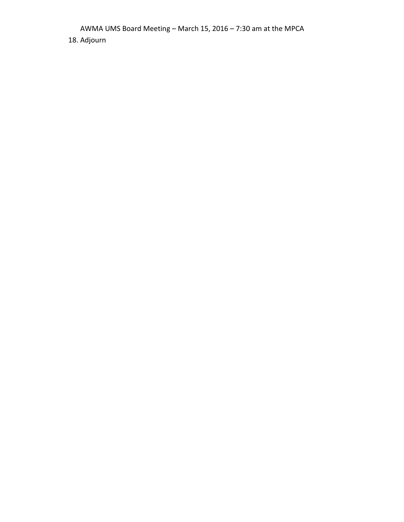AWMA UMS Board Meeting – March 15, 2016 – 7:30 am at the MPCA

18. Adjourn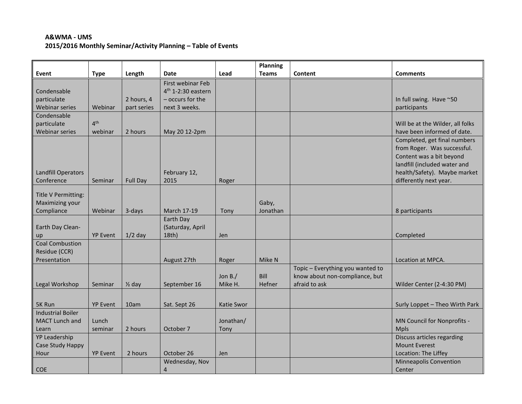## **A&WMA - UMS 2015/2016 Monthly Seminar/Activity Planning – Table of Events**

|                           |                 |                   |                      |            | <b>Planning</b> |                                  |                                  |
|---------------------------|-----------------|-------------------|----------------------|------------|-----------------|----------------------------------|----------------------------------|
| Event                     | <b>Type</b>     | Length            | Date                 | Lead       | <b>Teams</b>    | Content                          | <b>Comments</b>                  |
|                           |                 |                   | First webinar Feb    |            |                 |                                  |                                  |
| Condensable               |                 |                   | $4th$ 1-2:30 eastern |            |                 |                                  |                                  |
| particulate               |                 | 2 hours, 4        | - occurs for the     |            |                 |                                  | In full swing. Have ~50          |
| <b>Webinar series</b>     | Webinar         | part series       | next 3 weeks.        |            |                 |                                  | participants                     |
| Condensable               |                 |                   |                      |            |                 |                                  |                                  |
| particulate               | 4 <sup>th</sup> |                   |                      |            |                 |                                  | Will be at the Wilder, all folks |
| <b>Webinar series</b>     | webinar         | 2 hours           | May 20 12-2pm        |            |                 |                                  | have been informed of date.      |
|                           |                 |                   |                      |            |                 |                                  | Completed, get final numbers     |
|                           |                 |                   |                      |            |                 |                                  | from Roger. Was successful.      |
|                           |                 |                   |                      |            |                 |                                  | Content was a bit beyond         |
|                           |                 |                   |                      |            |                 |                                  | landfill (included water and     |
| <b>Landfill Operators</b> |                 |                   | February 12,         |            |                 |                                  | health/Safety). Maybe market     |
| Conference                | Seminar         | <b>Full Day</b>   | 2015                 | Roger      |                 |                                  | differently next year.           |
| Title V Permitting:       |                 |                   |                      |            |                 |                                  |                                  |
| Maximizing your           |                 |                   |                      |            | Gaby,           |                                  |                                  |
| Compliance                | Webinar         | 3-days            | March 17-19          | Tony       | Jonathan        |                                  | 8 participants                   |
|                           |                 |                   | Earth Day            |            |                 |                                  |                                  |
| Earth Day Clean-          |                 |                   | (Saturday, April     |            |                 |                                  |                                  |
| up                        | <b>YP Event</b> | $1/2$ day         | $18th$ )             | Jen        |                 |                                  | Completed                        |
| <b>Coal Combustion</b>    |                 |                   |                      |            |                 |                                  |                                  |
| Residue (CCR)             |                 |                   |                      |            |                 |                                  |                                  |
| Presentation              |                 |                   | August 27th          | Roger      | Mike N          |                                  | Location at MPCA.                |
|                           |                 |                   |                      |            |                 | Topic - Everything you wanted to |                                  |
|                           |                 |                   |                      | Jon $B$ ./ | Bill            | know about non-compliance, but   |                                  |
| Legal Workshop            | Seminar         | $\frac{1}{2}$ day | September 16         | Mike H.    | Hefner          | afraid to ask                    | Wilder Center (2-4:30 PM)        |
|                           |                 |                   |                      |            |                 |                                  |                                  |
| 5K Run                    | <b>YP Event</b> | 10am              | Sat. Sept 26         | Katie Swor |                 |                                  | Surly Loppet - Theo Wirth Park   |
| <b>Industrial Boiler</b>  |                 |                   |                      |            |                 |                                  |                                  |
| <b>MACT Lunch and</b>     | Lunch           |                   |                      | Jonathan/  |                 |                                  | MN Council for Nonprofits -      |
| Learn                     | seminar         | 2 hours           | October 7            | Tony       |                 |                                  | <b>Mpls</b>                      |
| <b>YP Leadership</b>      |                 |                   |                      |            |                 |                                  | Discuss articles regarding       |
| Case Study Happy          |                 |                   |                      |            |                 |                                  | <b>Mount Everest</b>             |
| Hour                      | <b>YP Event</b> | 2 hours           | October 26           | <b>Jen</b> |                 |                                  | Location: The Liffey             |
|                           |                 |                   | Wednesday, Nov       |            |                 |                                  | <b>Minneapolis Convention</b>    |
| COE                       |                 |                   | 4                    |            |                 |                                  | Center                           |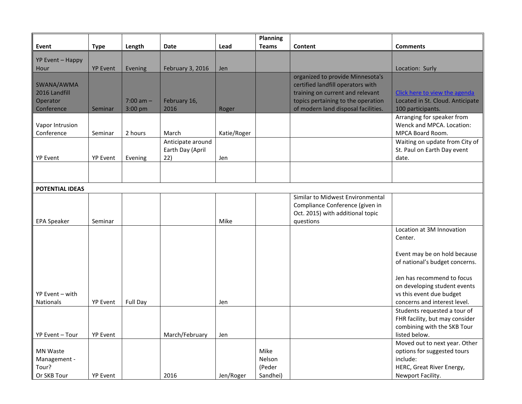|                        |                 |                 |                   |             | Planning     |                                     |                                  |
|------------------------|-----------------|-----------------|-------------------|-------------|--------------|-------------------------------------|----------------------------------|
| Event                  | <b>Type</b>     | Length          | Date              | Lead        | <b>Teams</b> | Content                             | <b>Comments</b>                  |
| YP Event - Happy       |                 |                 |                   |             |              |                                     |                                  |
| Hour                   | <b>YP Event</b> | Evening         | February 3, 2016  | Jen         |              |                                     | Location: Surly                  |
|                        |                 |                 |                   |             |              | organized to provide Minnesota's    |                                  |
| SWANA/AWMA             |                 |                 |                   |             |              | certified landfill operators with   |                                  |
| 2016 Landfill          |                 |                 |                   |             |              | training on current and relevant    | Click here to view the agenda    |
| Operator               |                 | $7:00$ am $-$   | February 16,      |             |              | topics pertaining to the operation  | Located in St. Cloud. Anticipate |
| Conference             | Seminar         | 3:00 pm         | 2016              | Roger       |              | of modern land disposal facilities. | 100 participants.                |
|                        |                 |                 |                   |             |              |                                     | Arranging for speaker from       |
| Vapor Intrusion        |                 |                 |                   |             |              |                                     | Wenck and MPCA. Location:        |
| Conference             | Seminar         | 2 hours         | March             | Katie/Roger |              |                                     | MPCA Board Room.                 |
|                        |                 |                 | Anticipate around |             |              |                                     | Waiting on update from City of   |
|                        |                 |                 | Earth Day (April  |             |              |                                     | St. Paul on Earth Day event      |
| <b>YP Event</b>        | <b>YP Event</b> | Evening         | 22)               | Jen         |              |                                     | date.                            |
|                        |                 |                 |                   |             |              |                                     |                                  |
|                        |                 |                 |                   |             |              |                                     |                                  |
| <b>POTENTIAL IDEAS</b> |                 |                 |                   |             |              |                                     |                                  |
|                        |                 |                 |                   |             |              | Similar to Midwest Environmental    |                                  |
|                        |                 |                 |                   |             |              | Compliance Conference (given in     |                                  |
|                        |                 |                 |                   |             |              | Oct. 2015) with additional topic    |                                  |
| <b>EPA Speaker</b>     | Seminar         |                 |                   | Mike        |              | questions                           |                                  |
|                        |                 |                 |                   |             |              |                                     | Location at 3M Innovation        |
|                        |                 |                 |                   |             |              |                                     | Center.                          |
|                        |                 |                 |                   |             |              |                                     | Event may be on hold because     |
|                        |                 |                 |                   |             |              |                                     | of national's budget concerns.   |
|                        |                 |                 |                   |             |              |                                     |                                  |
|                        |                 |                 |                   |             |              |                                     | Jen has recommend to focus       |
|                        |                 |                 |                   |             |              |                                     | on developing student events     |
| YP Event - with        |                 |                 |                   |             |              |                                     | vs this event due budget         |
| <b>Nationals</b>       | <b>YP Event</b> | <b>Full Day</b> |                   | Jen         |              |                                     | concerns and interest level.     |
|                        |                 |                 |                   |             |              |                                     | Students requested a tour of     |
|                        |                 |                 |                   |             |              |                                     | FHR facility, but may consider   |
|                        |                 |                 |                   |             |              |                                     | combining with the SKB Tour      |
| YP Event - Tour        | <b>YP Event</b> |                 | March/February    | Jen         |              |                                     | listed below.                    |
|                        |                 |                 |                   |             |              |                                     | Moved out to next year. Other    |
| <b>MN Waste</b>        |                 |                 |                   |             | Mike         |                                     | options for suggested tours      |
| Management -           |                 |                 |                   |             | Nelson       |                                     | include:                         |
| Tour?                  |                 |                 |                   |             | (Peder       |                                     | HERC, Great River Energy,        |
| Or SKB Tour            | <b>YP Event</b> |                 | 2016              | Jen/Roger   | Sandhei)     |                                     | Newport Facility.                |